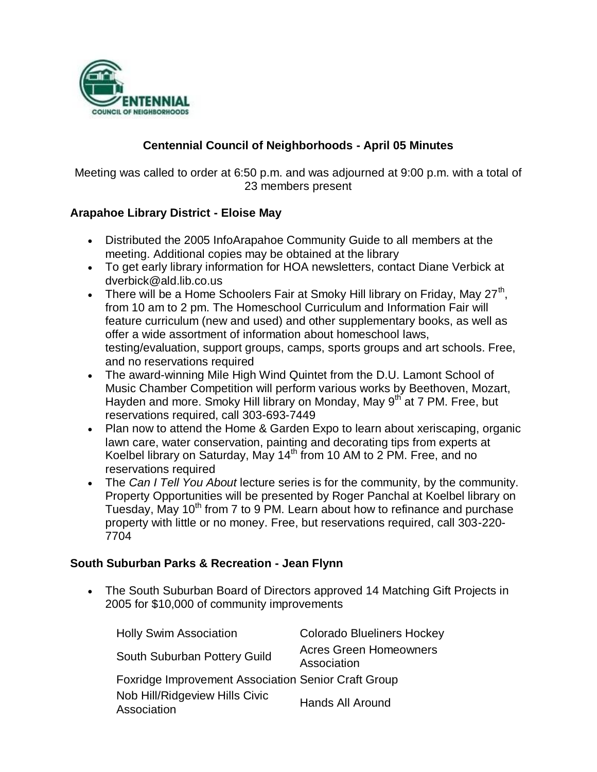

## **Centennial Council of Neighborhoods - April 05 Minutes**

Meeting was called to order at 6:50 p.m. and was adjourned at 9:00 p.m. with a total of 23 members present

### **Arapahoe Library District - Eloise May**

- Distributed the 2005 InfoArapahoe Community Guide to all members at the meeting. Additional copies may be obtained at the library
- To get early library information for HOA newsletters, contact Diane Verbick at dverbick@ald.lib.co.us
- There will be a Home Schoolers Fair at Smoky Hill library on Friday, May 27<sup>th</sup>, from 10 am to 2 pm. The Homeschool Curriculum and Information Fair will feature curriculum (new and used) and other supplementary books, as well as offer a wide assortment of information about homeschool laws, testing/evaluation, support groups, camps, sports groups and art schools. Free, and no reservations required
- The award-winning Mile High Wind Quintet from the D.U. Lamont School of Music Chamber Competition will perform various works by Beethoven, Mozart, Hayden and more. Smoky Hill library on Monday, May 9<sup>th</sup> at 7 PM. Free, but reservations required, call 303-693-7449
- Plan now to attend the Home & Garden Expo to learn about xeriscaping, organic lawn care, water conservation, painting and decorating tips from experts at Koelbel library on Saturday, May 14<sup>th</sup> from 10 AM to 2 PM. Free, and no reservations required
- The *Can I Tell You About* lecture series is for the community, by the community. Property Opportunities will be presented by Roger Panchal at Koelbel library on Tuesday. May 10<sup>th</sup> from 7 to 9 PM. Learn about how to refinance and purchase property with little or no money. Free, but reservations required, call 303-220- 7704

### **South Suburban Parks & Recreation - Jean Flynn**

• The South Suburban Board of Directors approved 14 Matching Gift Projects in 2005 for \$10,000 of community improvements

| <b>Holly Swim Association</b>                              | <b>Colorado Blueliners Hockey</b>            |
|------------------------------------------------------------|----------------------------------------------|
| South Suburban Pottery Guild                               | <b>Acres Green Homeowners</b><br>Association |
| <b>Foxridge Improvement Association Senior Craft Group</b> |                                              |
| Nob Hill/Ridgeview Hills Civic<br>Association              | Hands All Around                             |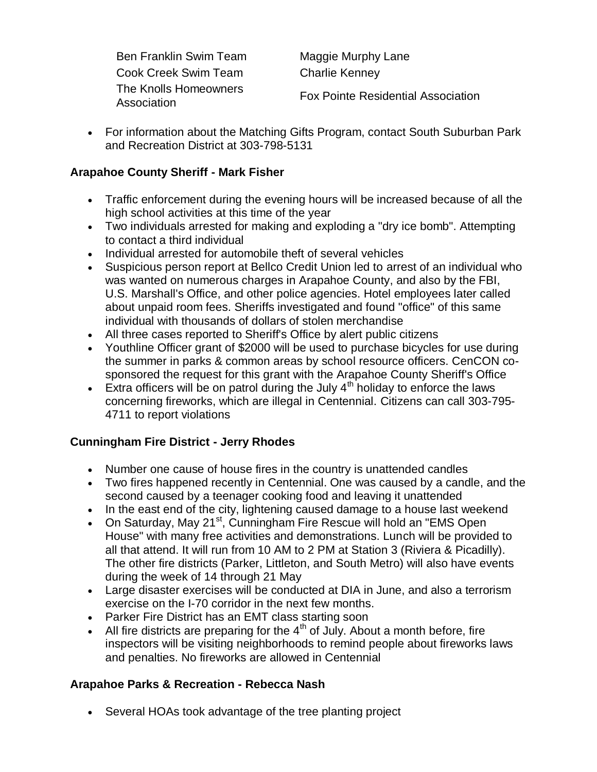Ben Franklin Swim Team Maggie Murphy Lane Cook Creek Swim Team Charlie Kenney The Knolls Homeowners

The Rifolis Homeowners<br>Association<br>Association

 For information about the Matching Gifts Program, contact South Suburban Park and Recreation District at 303-798-5131

## **Arapahoe County Sheriff - Mark Fisher**

- Traffic enforcement during the evening hours will be increased because of all the high school activities at this time of the year
- Two individuals arrested for making and exploding a "dry ice bomb". Attempting to contact a third individual
- Individual arrested for automobile theft of several vehicles
- Suspicious person report at Bellco Credit Union led to arrest of an individual who was wanted on numerous charges in Arapahoe County, and also by the FBI, U.S. Marshall's Office, and other police agencies. Hotel employees later called about unpaid room fees. Sheriffs investigated and found "office" of this same individual with thousands of dollars of stolen merchandise
- All three cases reported to Sheriff's Office by alert public citizens
- Youthline Officer grant of \$2000 will be used to purchase bicycles for use during the summer in parks & common areas by school resource officers. CenCON cosponsored the request for this grant with the Arapahoe County Sheriff's Office
- Extra officers will be on patrol during the July  $4<sup>th</sup>$  holiday to enforce the laws concerning fireworks, which are illegal in Centennial. Citizens can call 303-795- 4711 to report violations

### **Cunningham Fire District - Jerry Rhodes**

- Number one cause of house fires in the country is unattended candles
- Two fires happened recently in Centennial. One was caused by a candle, and the second caused by a teenager cooking food and leaving it unattended
- In the east end of the city, lightening caused damage to a house last weekend
- On Saturday, May 21 $st$ , Cunningham Fire Rescue will hold an "EMS Open House" with many free activities and demonstrations. Lunch will be provided to all that attend. It will run from 10 AM to 2 PM at Station 3 (Riviera & Picadilly). The other fire districts (Parker, Littleton, and South Metro) will also have events during the week of 14 through 21 May
- Large disaster exercises will be conducted at DIA in June, and also a terrorism exercise on the I-70 corridor in the next few months.
- Parker Fire District has an EMT class starting soon
- All fire districts are preparing for the  $4<sup>th</sup>$  of July. About a month before, fire inspectors will be visiting neighborhoods to remind people about fireworks laws and penalties. No fireworks are allowed in Centennial

### **Arapahoe Parks & Recreation - Rebecca Nash**

Several HOAs took advantage of the tree planting project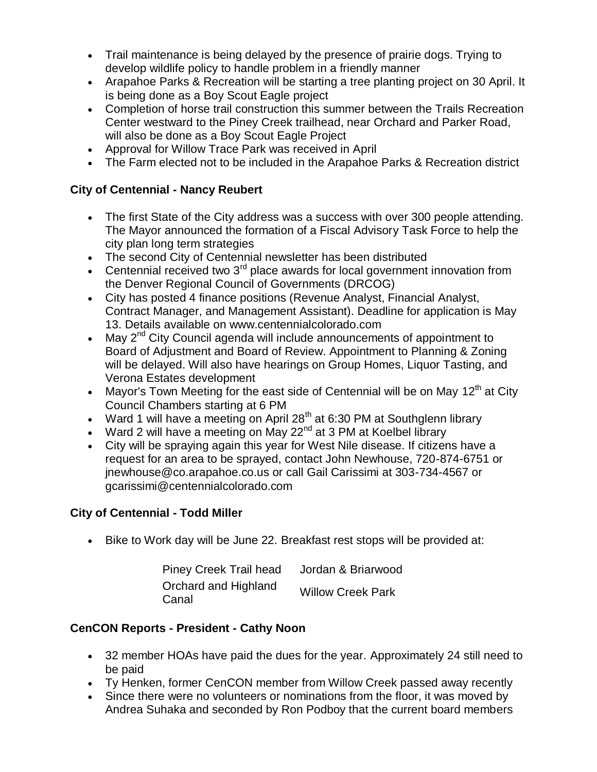- Trail maintenance is being delayed by the presence of prairie dogs. Trying to develop wildlife policy to handle problem in a friendly manner
- Arapahoe Parks & Recreation will be starting a tree planting project on 30 April. It is being done as a Boy Scout Eagle project
- Completion of horse trail construction this summer between the Trails Recreation Center westward to the Piney Creek trailhead, near Orchard and Parker Road, will also be done as a Boy Scout Eagle Project
- Approval for Willow Trace Park was received in April
- The Farm elected not to be included in the Arapahoe Parks & Recreation district

## **City of Centennial - Nancy Reubert**

- The first State of the City address was a success with over 300 people attending. The Mayor announced the formation of a Fiscal Advisory Task Force to help the city plan long term strategies
- The second City of Centennial newsletter has been distributed
- **•** Centennial received two  $3<sup>rd</sup>$  place awards for local government innovation from the Denver Regional Council of Governments (DRCOG)
- City has posted 4 finance positions (Revenue Analyst, Financial Analyst, Contract Manager, and Management Assistant). Deadline for application is May 13. Details available on www.centennialcolorado.com
- $\bullet$  May 2<sup>nd</sup> City Council agenda will include announcements of appointment to Board of Adjustment and Board of Review. Appointment to Planning & Zoning will be delayed. Will also have hearings on Group Homes, Liquor Tasting, and Verona Estates development
- Mayor's Town Meeting for the east side of Centennial will be on May  $12<sup>th</sup>$  at City Council Chambers starting at 6 PM
- Ward 1 will have a meeting on April 28<sup>th</sup> at 6:30 PM at Southglenn library
- Ward 2 will have a meeting on May  $22^{nd}$  at 3 PM at Koelbel library
- City will be spraying again this year for West Nile disease. If citizens have a request for an area to be sprayed, contact John Newhouse, 720-874-6751 or jnewhouse@co.arapahoe.co.us or call Gail Carissimi at 303-734-4567 or gcarissimi@centennialcolorado.com

# **City of Centennial - Todd Miller**

Bike to Work day will be June 22. Breakfast rest stops will be provided at:

| <b>Piney Creek Trail head</b> | Jordan & Briarwood       |
|-------------------------------|--------------------------|
| Orchard and Highland<br>Canal | <b>Willow Creek Park</b> |

# **CenCON Reports - President - Cathy Noon**

- 32 member HOAs have paid the dues for the year. Approximately 24 still need to be paid
- Ty Henken, former CenCON member from Willow Creek passed away recently
- Since there were no volunteers or nominations from the floor, it was moved by Andrea Suhaka and seconded by Ron Podboy that the current board members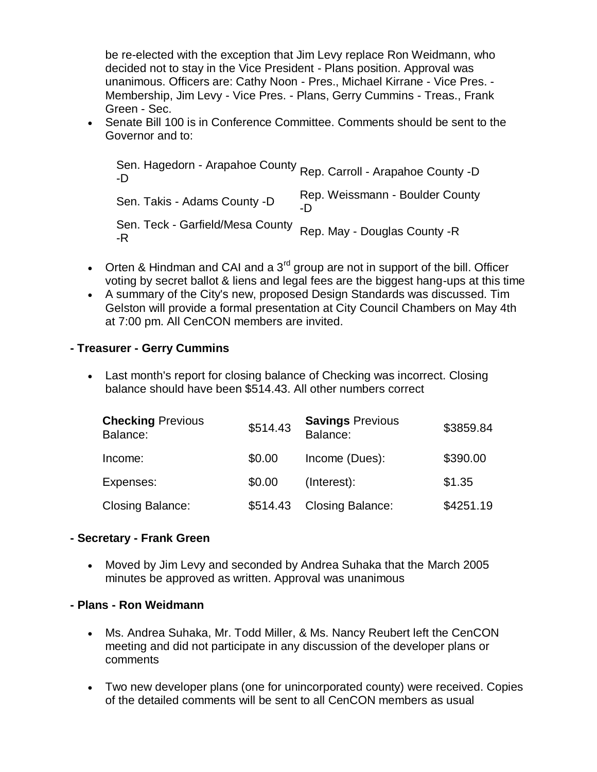be re-elected with the exception that Jim Levy replace Ron Weidmann, who decided not to stay in the Vice President - Plans position. Approval was unanimous. Officers are: Cathy Noon - Pres., Michael Kirrane - Vice Pres. - Membership, Jim Levy - Vice Pres. - Plans, Gerry Cummins - Treas., Frank Green - Sec.

 Senate Bill 100 is in Conference Committee. Comments should be sent to the Governor and to:

Sen. Hagedorn - Arapahoe County Rep. Carroll - Arapahoe County -D -D Sen. Takis - Adams County -D Rep. Weissmann - Boulder County -D Sen. Teck - Garfield/Mesa County -R Rep. May - Douglas County -R

- Orten & Hindman and CAI and a  $3^{rd}$  group are not in support of the bill. Officer voting by secret ballot & liens and legal fees are the biggest hang-ups at this time
- A summary of the City's new, proposed Design Standards was discussed. Tim Gelston will provide a formal presentation at City Council Chambers on May 4th at 7:00 pm. All CenCON members are invited.

### **- Treasurer - Gerry Cummins**

 Last month's report for closing balance of Checking was incorrect. Closing balance should have been \$514.43. All other numbers correct

| <b>Checking Previous</b><br>Balance: | \$514.43 | <b>Savings Previous</b><br>Balance: | \$3859.84 |
|--------------------------------------|----------|-------------------------------------|-----------|
| Income:                              | \$0.00   | Income (Dues):                      | \$390.00  |
| Expenses:                            | \$0.00   | (Interest):                         | \$1.35    |
| <b>Closing Balance:</b>              | \$514.43 | <b>Closing Balance:</b>             | \$4251.19 |

### **- Secretary - Frank Green**

 Moved by Jim Levy and seconded by Andrea Suhaka that the March 2005 minutes be approved as written. Approval was unanimous

### **- Plans - Ron Weidmann**

- Ms. Andrea Suhaka, Mr. Todd Miller, & Ms. Nancy Reubert left the CenCON meeting and did not participate in any discussion of the developer plans or comments
- Two new developer plans (one for unincorporated county) were received. Copies of the detailed comments will be sent to all CenCON members as usual